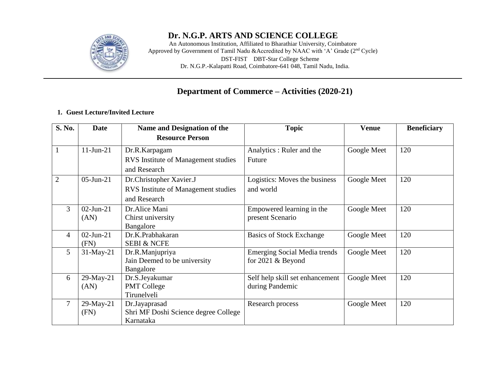

## **Dr. N.G.P. ARTS AND SCIENCE COLLEGE**

An Autonomous Institution, Affiliated to Bharathiar University, Coimbatore Approved by Government of Tamil Nadu &Accredited by NAAC with 'A' Grade (2<sup>nd</sup> Cycle) DST**-**FIST DBT**-**Star College Scheme Dr. N.G.P.**-**Kalapatti Road, Coimbatore**-**641 048, Tamil Nadu, India.

## **Department of Commerce – Activities (2020-21)**

#### **1. Guest Lecture/Invited Lecture**

| S. No.         | Name and Designation of the<br><b>Date</b> |                                      | <b>Topic</b>                        | <b>Venue</b> | <b>Beneficiary</b> |
|----------------|--------------------------------------------|--------------------------------------|-------------------------------------|--------------|--------------------|
|                |                                            | <b>Resource Person</b>               |                                     |              |                    |
|                | $11$ -Jun-21                               | Dr.R.Karpagam                        | Analytics : Ruler and the           | Google Meet  | 120                |
|                |                                            | RVS Institute of Management studies  | Future                              |              |                    |
|                |                                            | and Research                         |                                     |              |                    |
| 2              | $05$ -Jun-21                               | Dr.Christopher Xavier.J              | Logistics: Moves the business       | Google Meet  | 120                |
|                |                                            | RVS Institute of Management studies  | and world                           |              |                    |
|                |                                            | and Research                         |                                     |              |                    |
| 3              | $02$ -Jun-21                               | Dr.Alice Mani                        | Empowered learning in the           | Google Meet  | 120                |
|                | (AN)                                       | Chirst university                    | present Scenario                    |              |                    |
|                |                                            | Bangalore                            |                                     |              |                    |
| 4              | $02$ -Jun-21                               | Dr.K.Prabhakaran                     | <b>Basics of Stock Exchange</b>     | Google Meet  | 120                |
|                | (FN)                                       | <b>SEBI &amp; NCFE</b>               |                                     |              |                    |
| 5              | $31$ -May-21                               | Dr.R.Manjupriya                      | <b>Emerging Social Media trends</b> | Google Meet  | 120                |
|                |                                            | Jain Deemed to be university         | for $2021 \&$ Beyond                |              |                    |
|                |                                            | Bangalore                            |                                     |              |                    |
| 6              | 29-May-21                                  | Dr.S.Jeyakumar                       | Self help skill set enhancement     | Google Meet  | 120                |
|                | (AN)                                       | <b>PMT College</b>                   | during Pandemic                     |              |                    |
|                |                                            | Tirunelveli                          |                                     |              |                    |
| $\overline{7}$ | 29-May-21                                  | Dr.Jayaprasad                        | Research process                    | Google Meet  | 120                |
|                | (FN)                                       | Shri MF Doshi Science degree College |                                     |              |                    |
|                |                                            | Karnataka                            |                                     |              |                    |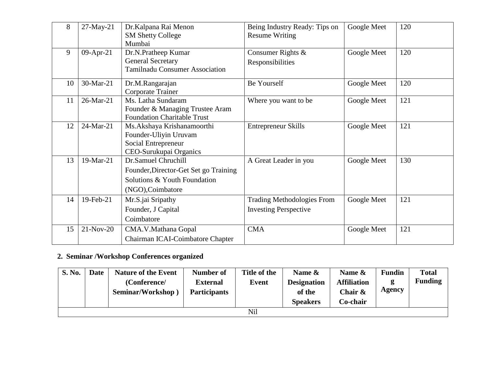| 8  | 27-May-21                                | Dr.Kalpana Rai Menon                  | Being Industry Ready: Tips on     | Google Meet | 120 |
|----|------------------------------------------|---------------------------------------|-----------------------------------|-------------|-----|
|    |                                          | <b>SM Shetty College</b>              | <b>Resume Writing</b>             |             |     |
|    |                                          | Mumbai                                |                                   |             |     |
| 9  | $09-Apr-21$                              | Dr.N.Pratheep Kumar                   | Consumer Rights &                 | Google Meet | 120 |
|    |                                          | <b>General Secretary</b>              | Responsibilities                  |             |     |
|    |                                          | <b>Tamilnadu Consumer Association</b> |                                   |             |     |
| 10 | 30-Mar-21                                | Dr.M.Rangarajan                       | Be Yourself                       | Google Meet | 120 |
|    |                                          | Corporate Trainer                     |                                   |             |     |
| 11 | 26-Mar-21                                | Ms. Latha Sundaram                    | Where you want to be              | Google Meet | 121 |
|    |                                          | Founder & Managing Trustee Aram       |                                   |             |     |
|    |                                          | <b>Foundation Charitable Trust</b>    |                                   |             |     |
| 12 | 24-Mar-21<br>Ms. Akshaya Krishanamoorthi |                                       | Entrepreneur Skills               | Google Meet | 121 |
|    |                                          | Founder-Uliyin Uruvam                 |                                   |             |     |
|    |                                          | Social Entrepreneur                   |                                   |             |     |
|    |                                          | CEO-Surukupai Organics                |                                   |             |     |
| 13 | 19-Mar-21                                | Dr.Samuel Chruchill                   | A Great Leader in you             | Google Meet | 130 |
|    |                                          | Founder, Director-Get Set go Training |                                   |             |     |
|    | Solutions & Youth Foundation             |                                       |                                   |             |     |
|    |                                          | (NGO), Coimbatore                     |                                   |             |     |
| 14 | 19-Feb-21                                | Mr.S.jai Sripathy                     | <b>Trading Methodologies From</b> | Google Meet | 121 |
|    |                                          | Founder, J Capital                    | <b>Investing Perspective</b>      |             |     |
|    |                                          | Coimbatore                            |                                   |             |     |
| 15 | $21-Nov-20$                              | CMA.V.Mathana Gopal                   | <b>CMA</b>                        | Google Meet | 121 |
|    | Chairman ICAI-Coimbatore Chapter         |                                       |                                   |             |     |

# **2. Seminar /Workshop Conferences organized**

| <b>S. No.</b> | Date | <b>Nature of the Event</b><br>(Conference/<br>Seminar/Workshop) | Number of<br><b>External</b><br><b>Participants</b> | Title of the<br>Event | Name &<br><b>Designation</b><br>of the<br><b>Speakers</b> | Name &<br><b>Affiliation</b><br>Chair $\&$<br>Co-chair | <b>Fundin</b><br>Agency | <b>Total</b><br><b>Funding</b> |  |
|---------------|------|-----------------------------------------------------------------|-----------------------------------------------------|-----------------------|-----------------------------------------------------------|--------------------------------------------------------|-------------------------|--------------------------------|--|
| Nil           |      |                                                                 |                                                     |                       |                                                           |                                                        |                         |                                |  |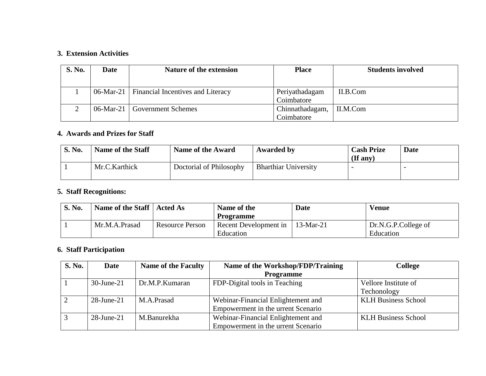#### **3. Extension Activities**

| <b>S. No.</b> | Date | <b>Nature of the extension</b>                | <b>Place</b>    | <b>Students involved</b> |
|---------------|------|-----------------------------------------------|-----------------|--------------------------|
|               |      |                                               |                 |                          |
|               |      | 06-Mar-21   Financial Incentives and Literacy | Periyathadagam  | II.B.Com                 |
|               |      |                                               | Coimbatore      |                          |
|               |      | 06-Mar-21   Government Schemes                | Chinnathadagam, | II.M.Com                 |
|               |      |                                               | Coimbatore      |                          |

### **4. Awards and Prizes for Staff**

| <b>S. No.</b> | Name of the Staff | Name of the Award       | Awarded by                  | <b>Cash Prize</b><br>$($ If any $)$ | Date |
|---------------|-------------------|-------------------------|-----------------------------|-------------------------------------|------|
|               | Mr.C.Karthick     | Doctorial of Philosophy | <b>Bharthiar University</b> |                                     |      |

## **5. Staff Recognitions:**

| <b>S. No.</b> | Name of the Staff   Acted As |                 | Name of the           | <b>Date</b> | Venue               |
|---------------|------------------------------|-----------------|-----------------------|-------------|---------------------|
|               |                              |                 | Programme             |             |                     |
|               | Mr.M.A.Prasad                | Resource Person | Recent Development in | $13-Mar-21$ | Dr.N.G.P.College of |
|               |                              |                 | Education             |             | Education           |

# **6. Staff Participation**

| <b>S. No.</b> | Date          | <b>Name of the Faculty</b> | Name of the Workshop/FDP/Training  | <b>College</b>             |
|---------------|---------------|----------------------------|------------------------------------|----------------------------|
|               |               |                            | <b>Programme</b>                   |                            |
|               | $30$ -June-21 | Dr.M.P.Kumaran             | FDP-Digital tools in Teaching      | Vellore Institute of       |
|               |               |                            |                                    | Techonology                |
|               | $28$ -June-21 | M.A.Prasad                 | Webinar-Financial Enlightement and | <b>KLH Business School</b> |
|               |               |                            | Empowerment in the urrent Scenario |                            |
|               | $28$ -June-21 | M.Banurekha                | Webinar-Financial Enlightement and | <b>KLH Business School</b> |
|               |               |                            | Empowerment in the urrent Scenario |                            |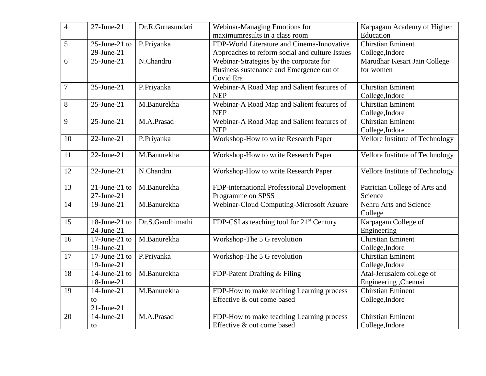| $\overline{4}$ | $27$ -June- $21$ | Dr.R.Gunasundari | Webinar-Managing Emotions for                         | Karpagam Academy of Higher      |
|----------------|------------------|------------------|-------------------------------------------------------|---------------------------------|
|                |                  |                  | maximumresults in a class room                        | Education                       |
| 5              | 25-June-21 to    | P.Priyanka       | FDP-World Literature and Cinema-Innovative            | <b>Chirstian Eminent</b>        |
|                | $29$ -June- $21$ |                  | Approaches to reform social and culture Issues        | College, Indore                 |
| 6              | $25$ -June- $21$ | N.Chandru        | Webinar-Strategies by the corporate for               | Marudhar Kesari Jain College    |
|                |                  |                  | Business sustenance and Emergence out of              | for women                       |
|                |                  |                  | Covid Era                                             |                                 |
| $\overline{7}$ | $25$ -June- $21$ | P.Priyanka       | Webinar-A Road Map and Salient features of            | <b>Chirstian Eminent</b>        |
|                |                  |                  | <b>NEP</b>                                            | College, Indore                 |
| 8              | $25$ -June- $21$ | M.Banurekha      | Webinar-A Road Map and Salient features of            | <b>Chirstian Eminent</b>        |
|                |                  |                  | <b>NEP</b>                                            | College, Indore                 |
| 9              | $25$ -June- $21$ | M.A.Prasad       | Webinar-A Road Map and Salient features of            | <b>Chirstian Eminent</b>        |
|                |                  |                  | <b>NEP</b>                                            | College, Indore                 |
| 10             | $22$ -June-21    | P.Priyanka       | Workshop-How to write Research Paper                  | Vellore Institute of Technology |
|                |                  |                  |                                                       |                                 |
| 11             | $22$ -June- $21$ | M.Banurekha      | Workshop-How to write Research Paper                  | Vellore Institute of Technology |
| 12             | $22$ -June- $21$ | N.Chandru        |                                                       |                                 |
|                |                  |                  | Workshop-How to write Research Paper                  | Vellore Institute of Technology |
| 13             | 21-June-21 to    | M.Banurekha      | FDP-international Professional Development            | Patrician College of Arts and   |
|                | $27$ -June- $21$ |                  | Programme on SPSS                                     | Science                         |
| 14             | $19$ -June- $21$ | M.Banurekha      | Webinar-Cloud Computing-Microsoft Azuare              | Nehru Arts and Science          |
|                |                  |                  |                                                       | College                         |
| 15             | 18-June-21 to    | Dr.S.Gandhimathi | FDP-CSI as teaching tool for 21 <sup>st</sup> Century | Karpagam College of             |
|                | $24$ -June- $21$ |                  |                                                       | Engineering                     |
| 16             | 17-June-21 to    | M.Banurekha      | Workshop-The 5 G revolution                           | <b>Chirstian Eminent</b>        |
|                | 19-June-21       |                  |                                                       | College, Indore                 |
| 17             | 17-June-21 to    | P.Priyanka       | Workshop-The 5 G revolution                           | <b>Chirstian Eminent</b>        |
|                | 19-June-21       |                  |                                                       | College, Indore                 |
| 18             | 14-June-21 to    | M.Banurekha      | FDP-Patent Drafting & Filing                          | Atal-Jerusalem college of       |
|                | 18-June-21       |                  |                                                       | Engineering , Chennai           |
| 19             | 14-June-21       | M.Banurekha      | FDP-How to make teaching Learning process             | <b>Chirstian Eminent</b>        |
|                | to.              |                  | Effective & out come based                            | College, Indore                 |
|                | $21$ -June- $21$ |                  |                                                       |                                 |
| 20             | 14-June-21       | M.A.Prasad       | FDP-How to make teaching Learning process             | <b>Chirstian Eminent</b>        |
|                | to               |                  | Effective & out come based                            | College, Indore                 |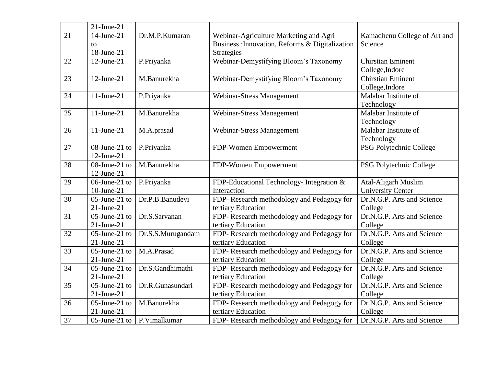|                 | $21$ -June- $21$ |                   |                                                 |                              |
|-----------------|------------------|-------------------|-------------------------------------------------|------------------------------|
| $\overline{21}$ | 14-June-21       | Dr.M.P.Kumaran    | Webinar-Agriculture Marketing and Agri          | Kamadhenu College of Art and |
|                 | to               |                   | Business : Innovation, Reforms & Digitalization | Science                      |
|                 | 18-June-21       |                   | <b>Strategies</b>                               |                              |
| 22              | $12$ -June- $21$ | P.Priyanka        | Webinar-Demystifying Bloom's Taxonomy           | <b>Chirstian Eminent</b>     |
|                 |                  |                   |                                                 | College, Indore              |
| 23              | $12$ -June- $21$ | M.Banurekha       | Webinar-Demystifying Bloom's Taxonomy           | <b>Chirstian Eminent</b>     |
|                 |                  |                   |                                                 | College, Indore              |
| 24              | $11$ -June- $21$ | P.Priyanka        | <b>Webinar-Stress Management</b>                | Malabar Institute of         |
|                 |                  |                   |                                                 | Technology                   |
| 25              | $11$ -June-21    | M.Banurekha       | <b>Webinar-Stress Management</b>                | Malabar Institute of         |
|                 |                  |                   |                                                 | Technology                   |
| 26              | $11$ -June-21    | M.A.prasad        | Webinar-Stress Management                       | Malabar Institute of         |
|                 |                  |                   |                                                 | Technology                   |
| 27              | 08-June-21 to    | P.Priyanka        | FDP-Women Empowerment                           | PSG Polytechnic College      |
|                 | $12$ -June- $21$ |                   |                                                 |                              |
| 28              | 08-June-21 to    | M.Banurekha       | FDP-Women Empowerment                           | PSG Polytechnic College      |
|                 | $12$ -June-21    |                   |                                                 |                              |
| 29              | $06$ -June-21 to | P.Priyanka        | FDP-Educational Technology- Integration &       | <b>Atal-Aligarh Muslim</b>   |
|                 | $10$ -June- $21$ |                   | Interaction                                     | <b>University Center</b>     |
| 30              | 05-June-21 to    | Dr.P.B.Banudevi   | FDP-Research methodology and Pedagogy for       | Dr.N.G.P. Arts and Science   |
|                 | $21$ -June- $21$ |                   | tertiary Education                              | College                      |
| 31              | $05$ -June-21 to | Dr.S.Sarvanan     | FDP- Research methodology and Pedagogy for      | Dr.N.G.P. Arts and Science   |
|                 | $21$ -June- $21$ |                   | tertiary Education                              | College                      |
| 32              | 05-June-21 to    | Dr.S.S.Murugandam | FDP-Research methodology and Pedagogy for       | Dr.N.G.P. Arts and Science   |
|                 | $21$ -June- $21$ |                   | tertiary Education                              | College                      |
| 33              | $05$ -June-21 to | M.A.Prasad        | FDP-Research methodology and Pedagogy for       | Dr.N.G.P. Arts and Science   |
|                 | $21$ -June- $21$ |                   | tertiary Education                              | College                      |
| 34              | $05$ -June-21 to | Dr.S.Gandhimathi  | FDP- Research methodology and Pedagogy for      | Dr.N.G.P. Arts and Science   |
|                 | $21$ -June- $21$ |                   | tertiary Education                              | College                      |
| 35              | $05$ -June-21 to | Dr.R.Gunasundari  | FDP- Research methodology and Pedagogy for      | Dr.N.G.P. Arts and Science   |
|                 | $21$ -June- $21$ |                   | tertiary Education                              | College                      |
| 36              | $05$ -June-21 to | M.Banurekha       | FDP- Research methodology and Pedagogy for      | Dr.N.G.P. Arts and Science   |
|                 | $21$ -June- $21$ |                   | tertiary Education                              | College                      |
| 37              | $05$ -June-21 to | P.Vimalkumar      | FDP- Research methodology and Pedagogy for      | Dr.N.G.P. Arts and Science   |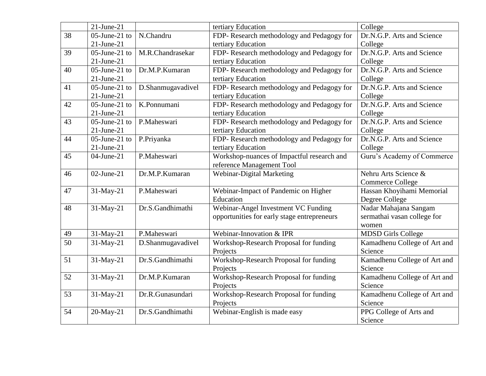|    | $21$ -June- $21$ |                   | tertiary Education                          | College                      |
|----|------------------|-------------------|---------------------------------------------|------------------------------|
| 38 | $05$ -June-21 to | N.Chandru         | FDP- Research methodology and Pedagogy for  | Dr.N.G.P. Arts and Science   |
|    | $21$ -June- $21$ |                   | tertiary Education                          | College                      |
| 39 | $05$ -June-21 to | M.R.Chandrasekar  | FDP-Research methodology and Pedagogy for   | Dr.N.G.P. Arts and Science   |
|    | $21$ -June- $21$ |                   | tertiary Education                          | College                      |
| 40 | $05$ -June-21 to | Dr.M.P.Kumaran    | FDP-Research methodology and Pedagogy for   | Dr.N.G.P. Arts and Science   |
|    | $21$ -June- $21$ |                   | tertiary Education                          | College                      |
| 41 | $05$ -June-21 to | D.Shanmugavadivel | FDP- Research methodology and Pedagogy for  | Dr.N.G.P. Arts and Science   |
|    | $21$ -June- $21$ |                   | tertiary Education                          | College                      |
| 42 | $05$ -June-21 to | K.Ponnumani       | FDP- Research methodology and Pedagogy for  | Dr.N.G.P. Arts and Science   |
|    | $21$ -June- $21$ |                   | tertiary Education                          | College                      |
| 43 | $05$ -June-21 to | P.Maheswari       | FDP- Research methodology and Pedagogy for  | Dr.N.G.P. Arts and Science   |
|    | $21$ -June- $21$ |                   | tertiary Education                          | College                      |
| 44 | $05$ -June-21 to | P.Priyanka        | FDP-Research methodology and Pedagogy for   | Dr.N.G.P. Arts and Science   |
|    | $21$ -June- $21$ |                   | tertiary Education                          | College                      |
| 45 | $04$ -June-21    | P.Maheswari       | Workshop-nuances of Impactful research and  | Guru's Academy of Commerce   |
|    |                  |                   | reference Management Tool                   |                              |
| 46 | $02$ -June-21    | Dr.M.P.Kumaran    | Webinar-Digital Marketing                   | Nehru Arts Science &         |
|    |                  |                   |                                             | <b>Commerce College</b>      |
| 47 | 31-May-21        | P.Maheswari       | Webinar-Impact of Pandemic on Higher        | Hassan Khoyihami Memorial    |
|    |                  |                   | Education                                   | Degree College               |
| 48 | 31-May-21        | Dr.S.Gandhimathi  | Webinar-Angel Investment VC Funding         | Nadar Mahajana Sangam        |
|    |                  |                   | opportunities for early stage entrepreneurs | sermathai vasan college for  |
|    |                  |                   |                                             | women                        |
| 49 | 31-May-21        | P.Maheswari       | Webinar-Innovation & IPR                    | <b>MDSD Girls College</b>    |
| 50 | 31-May-21        | D.Shanmugavadivel | Workshop-Research Proposal for funding      | Kamadhenu College of Art and |
|    |                  |                   | Projects                                    | Science                      |
| 51 | 31-May-21        | Dr.S.Gandhimathi  | Workshop-Research Proposal for funding      | Kamadhenu College of Art and |
|    |                  |                   | Projects                                    | Science                      |
| 52 | 31-May-21        | Dr.M.P.Kumaran    | Workshop-Research Proposal for funding      | Kamadhenu College of Art and |
|    |                  |                   | Projects                                    | Science                      |
| 53 | 31-May-21        | Dr.R.Gunasundari  | Workshop-Research Proposal for funding      | Kamadhenu College of Art and |
|    |                  |                   | Projects                                    | Science                      |
| 54 | 20-May-21        | Dr.S.Gandhimathi  | Webinar-English is made easy                | PPG College of Arts and      |
|    |                  |                   |                                             | Science                      |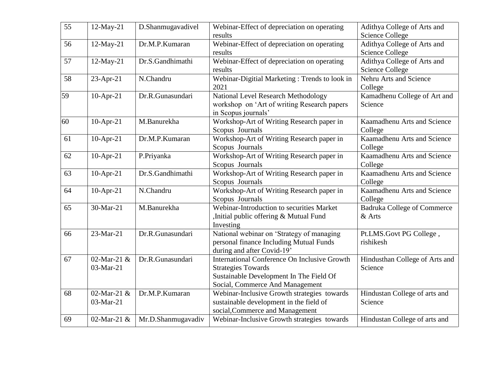| 55 | 12-May-21    | D.Shanmugavadivel  | Webinar-Effect of depreciation on operating   | Adithya College of Arts and    |
|----|--------------|--------------------|-----------------------------------------------|--------------------------------|
|    |              |                    | results                                       | <b>Science College</b>         |
| 56 | 12-May-21    | Dr.M.P.Kumaran     | Webinar-Effect of depreciation on operating   | Adithya College of Arts and    |
|    |              |                    | results                                       | <b>Science College</b>         |
| 57 | 12-May-21    | Dr.S.Gandhimathi   | Webinar-Effect of depreciation on operating   | Adithya College of Arts and    |
|    |              |                    | results                                       | <b>Science College</b>         |
| 58 | 23-Apr-21    | N.Chandru          | Webinar-Digitial Marketing: Trends to look in | Nehru Arts and Science         |
|    |              |                    | 2021                                          | College                        |
| 59 | $10$ -Apr-21 | Dr.R.Gunasundari   | National Level Research Methodology           | Kamadhenu College of Art and   |
|    |              |                    | workshop on 'Art of writing Research papers   | Science                        |
|    |              |                    | in Scopus journals'                           |                                |
| 60 | $10$ -Apr-21 | M.Banurekha        | Workshop-Art of Writing Research paper in     | Kaamadhenu Arts and Science    |
|    |              |                    | Scopus Journals                               | College                        |
| 61 | $10$ -Apr-21 | Dr.M.P.Kumaran     | Workshop-Art of Writing Research paper in     | Kaamadhenu Arts and Science    |
|    |              |                    | Scopus Journals                               | College                        |
| 62 | $10$ -Apr-21 | P.Priyanka         | Workshop-Art of Writing Research paper in     | Kaamadhenu Arts and Science    |
|    |              |                    | Scopus Journals                               | College                        |
| 63 | $10$ -Apr-21 | Dr.S.Gandhimathi   | Workshop-Art of Writing Research paper in     | Kaamadhenu Arts and Science    |
|    |              |                    | Scopus Journals                               | College                        |
| 64 | $10$ -Apr-21 | N.Chandru          | Workshop-Art of Writing Research paper in     | Kaamadhenu Arts and Science    |
|    |              |                    | Scopus Journals                               | College                        |
| 65 | 30-Mar-21    | M.Banurekha        | Webinar-Introduction to securities Market     | Badruka College of Commerce    |
|    |              |                    | Initial public offering & Mutual Fund         | & Arts                         |
|    |              |                    | Investing                                     |                                |
| 66 | 23-Mar-21    | Dr.R.Gunasundari   | National webinar on 'Strategy of managing     | Pt.LMS.Govt PG College,        |
|    |              |                    | personal finance Including Mutual Funds       | rishikesh                      |
|    |              |                    | during and after Covid-19'                    |                                |
| 67 | 02-Mar-21 &  | Dr.R.Gunasundari   | International Conference On Inclusive Growth  | Hindusthan College of Arts and |
|    | 03-Mar-21    |                    | <b>Strategies Towards</b>                     | Science                        |
|    |              |                    | Sustainable Development In The Field Of       |                                |
|    |              |                    | Social, Commerce And Management               |                                |
| 68 | 02-Mar-21 &  | Dr.M.P.Kumaran     | Webinar-Inclusive Growth strategies towards   | Hindustan College of arts and  |
|    | 03-Mar-21    |                    | sustainable development in the field of       | Science                        |
|    |              |                    | social, Commerce and Management               |                                |
| 69 | 02-Mar-21 &  | Mr.D.Shanmugavadiv | Webinar-Inclusive Growth strategies towards   | Hindustan College of arts and  |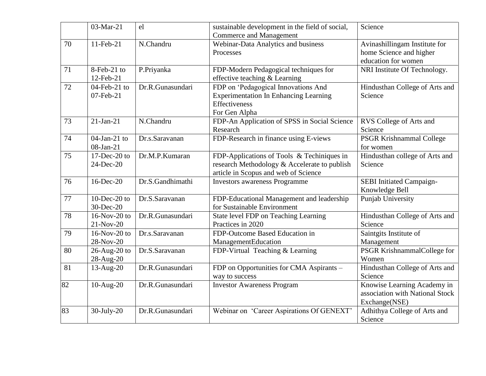|    | 03-Mar-21                       | el               | sustainable development in the field of social,<br><b>Commerce and Management</b>                                                  | Science                                                                         |
|----|---------------------------------|------------------|------------------------------------------------------------------------------------------------------------------------------------|---------------------------------------------------------------------------------|
| 70 | 11-Feb-21                       | N.Chandru        | Webinar-Data Analytics and business<br>Processes                                                                                   | Avinashillingam Institute for<br>home Science and higher<br>education for women |
| 71 | 8-Feb-21 to<br>12-Feb-21        | P.Priyanka       | FDP-Modern Pedagogical techniques for<br>effective teaching & Learning                                                             | NRI Institute Of Technology.                                                    |
| 72 | $04$ -Feb-21 to<br>07-Feb-21    | Dr.R.Gunasundari | FDP on 'Pedagogical Innovations And<br><b>Experimentation In Enhancing Learning</b><br>Effectiveness<br>For Gen Alpha              | Hindusthan College of Arts and<br>Science                                       |
| 73 | $21-Ian-21$                     | N.Chandru        | FDP-An Application of SPSS in Social Science<br>Research                                                                           | RVS College of Arts and<br>Science                                              |
| 74 | $04$ -Jan-21 to<br>08-Jan-21    | Dr.s.Saravanan   | FDP-Research in finance using E-views                                                                                              | <b>PSGR Krishnammal College</b><br>for women                                    |
| 75 | $17$ -Dec-20 to<br>24-Dec-20    | Dr.M.P.Kumaran   | FDP-Applications of Tools & Techiniques in<br>research Methodology & Accelerate to publish<br>article in Scopus and web of Science | Hindusthan college of Arts and<br>Science                                       |
| 76 | $16$ -Dec-20                    | Dr.S.Gandhimathi | <b>Investors awareness Programme</b>                                                                                               | <b>SEBI</b> Initiated Campaign-<br>Knowledge Bell                               |
| 77 | 10-Dec-20 to<br>30-Dec-20       | Dr.S.Saravanan   | FDP-Educational Management and leadership<br>for Sustainable Environment                                                           | Punjab University                                                               |
| 78 | $16-Nov-20$ to<br>21-Nov-20     | Dr.R.Gunasundari | State level FDP on Teaching Learning<br>Practices in 2020                                                                          | Hindusthan College of Arts and<br>Science                                       |
| 79 | $16-Nov-20$ to<br>28-Nov-20     | Dr.s.Saravanan   | FDP-Outcome Based Education in<br>ManagementEducation                                                                              | Saintgits Institute of<br>Management                                            |
| 80 | $26$ -Aug- $20$ to<br>28-Aug-20 | Dr.S.Saravanan   | FDP-Virtual Teaching & Learning                                                                                                    | PSGR KrishnammalCollege for<br>Women                                            |
| 81 | 13-Aug-20                       | Dr.R.Gunasundari | FDP on Opportunities for CMA Aspirants -<br>way to success                                                                         | Hindusthan College of Arts and<br>Science                                       |
| 82 | 10-Aug-20                       | Dr.R.Gunasundari | <b>Investor Awareness Program</b>                                                                                                  | Knowise Learning Academy in<br>association with National Stock<br>Exchange(NSE) |
| 83 | $30$ -July-20                   | Dr.R.Gunasundari | Webinar on 'Career Aspirations Of GENEXT'                                                                                          | Adhithya College of Arts and<br>Science                                         |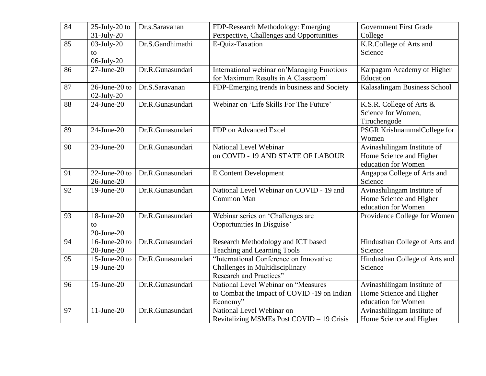| 84 | $25$ -July- $20$ to | Dr.s.Saravanan   | FDP-Research Methodology: Emerging          | <b>Government First Grade</b>  |
|----|---------------------|------------------|---------------------------------------------|--------------------------------|
|    | 31-July-20          |                  | Perspective, Challenges and Opportunities   | College                        |
| 85 | $03$ -July- $20$    | Dr.S.Gandhimathi | E-Quiz-Taxation                             | K.R.College of Arts and        |
|    | to                  |                  |                                             | Science                        |
|    | $06$ -July- $20$    |                  |                                             |                                |
| 86 | $27$ -June- $20$    | Dr.R.Gunasundari | International webinar on'Managing Emotions  | Karpagam Academy of Higher     |
|    |                     |                  | for Maximum Results in A Classroom'         | Education                      |
| 87 | 26-June-20 to       | Dr.S.Saravanan   | FDP-Emerging trends in business and Society | Kalasalingam Business School   |
|    | $02$ -July- $20$    |                  |                                             |                                |
| 88 | $24$ -June- $20$    | Dr.R.Gunasundari | Webinar on 'Life Skills For The Future'     | K.S.R. College of Arts &       |
|    |                     |                  |                                             | Science for Women,             |
|    |                     |                  |                                             | Tiruchengode                   |
| 89 | $24$ -June- $20$    | Dr.R.Gunasundari | FDP on Advanced Excel                       | PSGR KrishnammalCollege for    |
|    |                     |                  |                                             | Women                          |
| 90 | $23$ -June- $20$    | Dr.R.Gunasundari | National Level Webinar                      | Avinashilingam Institute of    |
|    |                     |                  | on COVID - 19 AND STATE OF LABOUR           | Home Science and Higher        |
|    |                     |                  |                                             | education for Women            |
| 91 | 22-June-20 to       | Dr.R.Gunasundari | <b>E</b> Content Development                | Angappa College of Arts and    |
|    | 26-June-20          |                  |                                             | Science                        |
| 92 | $19$ -June- $20$    | Dr.R.Gunasundari | National Level Webinar on COVID - 19 and    | Avinashilingam Institute of    |
|    |                     |                  | Common Man                                  | Home Science and Higher        |
|    |                     |                  |                                             | education for Women            |
| 93 | 18-June-20          | Dr.R.Gunasundari | Webinar series on 'Challenges are           | Providence College for Women   |
|    | to                  |                  | Opportunities In Disguise'                  |                                |
|    | $20$ -June- $20$    |                  |                                             |                                |
| 94 | 16-June-20 to       | Dr.R.Gunasundari | Research Methodology and ICT based          | Hindusthan College of Arts and |
|    | $20$ -June- $20$    |                  | Teaching and Learning Tools                 | Science                        |
| 95 | 15-June-20 to       | Dr.R.Gunasundari | "International Conference on Innovative     | Hindusthan College of Arts and |
|    | 19-June-20          |                  | Challenges in Multidisciplinary             | Science                        |
|    |                     |                  | Research and Practices"                     |                                |
| 96 | $15$ -June- $20$    | Dr.R.Gunasundari | National Level Webinar on "Measures         | Avinashilingam Institute of    |
|    |                     |                  | to Combat the Impact of COVID -19 on Indian | Home Science and Higher        |
|    |                     |                  | Economy"                                    | education for Women            |
| 97 | $11$ -June-20       | Dr.R.Gunasundari | National Level Webinar on                   | Avinashilingam Institute of    |
|    |                     |                  |                                             | Home Science and Higher        |
|    |                     |                  | Revitalizing MSMEs Post COVID - 19 Crisis   |                                |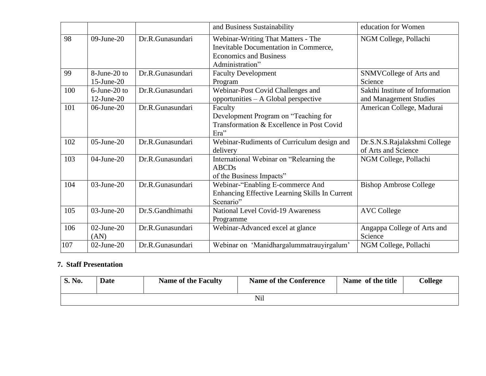|     |                                  |                  | and Business Sustainability                                                                                                     | education for Women                                       |
|-----|----------------------------------|------------------|---------------------------------------------------------------------------------------------------------------------------------|-----------------------------------------------------------|
| 98  | $09$ -June-20                    | Dr.R.Gunasundari | Webinar-Writing That Matters - The<br>Inevitable Documentation in Commerce,<br><b>Economics and Business</b><br>Administration" | NGM College, Pollachi                                     |
| 99  | 8-June-20 to<br>$15$ -June- $20$ | Dr.R.Gunasundari | <b>Faculty Development</b><br>Program                                                                                           | SNMVCollege of Arts and<br>Science                        |
| 100 | 6-June-20 to<br>$12$ -June-20    | Dr.R.Gunasundari | Webinar-Post Covid Challenges and<br>opportunities – A Global perspective                                                       | Sakthi Institute of Information<br>and Management Studies |
| 101 | $06$ -June-20                    | Dr.R.Gunasundari | Faculty<br>Development Program on "Teaching for<br>Transformation & Excellence in Post Covid<br>Era"                            | American College, Madurai                                 |
| 102 | $05$ -June-20                    | Dr.R.Gunasundari | Webinar-Rudiments of Curriculum design and<br>delivery                                                                          | Dr.S.N.S.Rajalakshmi College<br>of Arts and Science       |
| 103 | $04$ -June-20                    | Dr.R.Gunasundari | International Webinar on "Relearning the<br><b>ABCDs</b><br>of the Business Impacts"                                            | NGM College, Pollachi                                     |
| 104 | $03$ -June-20                    | Dr.R.Gunasundari | Webinar-"Enabling E-commerce And<br>Enhancing Effective Learning Skills In Current<br>Scenario"                                 | <b>Bishop Ambrose College</b>                             |
| 105 | $03$ -June-20                    | Dr.S.Gandhimathi | <b>National Level Covid-19 Awareness</b><br>Programme                                                                           | <b>AVC College</b>                                        |
| 106 | $02$ -June-20<br>(AN)            | Dr.R.Gunasundari | Webinar-Advanced excel at glance                                                                                                | Angappa College of Arts and<br>Science                    |
| 107 | $02$ -June-20                    | Dr.R.Gunasundari | Webinar on 'Manidhargalummatrauyirgalum'                                                                                        | NGM College, Pollachi                                     |

### **7. Staff Presentation**

| S. No. | <b>Date</b> | <b>Name of the Faculty</b> | <b>Name of the Conference</b> | Name of the title | College |  |  |  |
|--------|-------------|----------------------------|-------------------------------|-------------------|---------|--|--|--|
|        | Nil         |                            |                               |                   |         |  |  |  |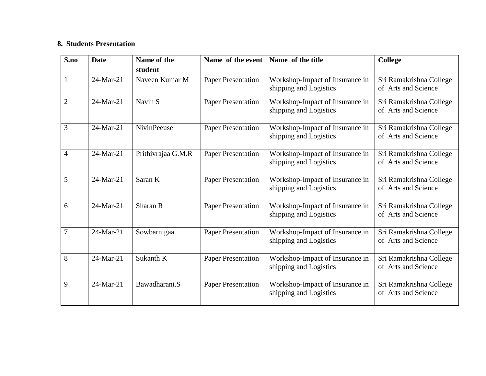#### **8. Students Presentation**

| S.no           | <b>Date</b> | Name of the        | Name of the event         | Name of the title                                         | <b>College</b>                                 |
|----------------|-------------|--------------------|---------------------------|-----------------------------------------------------------|------------------------------------------------|
|                |             | student            |                           |                                                           |                                                |
| $\mathbf{1}$   | 24-Mar-21   | Naveen Kumar M     | <b>Paper Presentation</b> | Workshop-Impact of Insurance in<br>shipping and Logistics | Sri Ramakrishna College<br>of Arts and Science |
| $\overline{2}$ | 24-Mar-21   | Navin S            | <b>Paper Presentation</b> | Workshop-Impact of Insurance in<br>shipping and Logistics | Sri Ramakrishna College<br>of Arts and Science |
| 3              | 24-Mar-21   | <b>NivinPeeuse</b> | <b>Paper Presentation</b> | Workshop-Impact of Insurance in<br>shipping and Logistics | Sri Ramakrishna College<br>of Arts and Science |
| $\overline{4}$ | 24-Mar-21   | Prithivrajaa G.M.R | <b>Paper Presentation</b> | Workshop-Impact of Insurance in<br>shipping and Logistics | Sri Ramakrishna College<br>of Arts and Science |
| 5              | 24-Mar-21   | Saran K            | <b>Paper Presentation</b> | Workshop-Impact of Insurance in<br>shipping and Logistics | Sri Ramakrishna College<br>of Arts and Science |
| 6              | 24-Mar-21   | Sharan R           | <b>Paper Presentation</b> | Workshop-Impact of Insurance in<br>shipping and Logistics | Sri Ramakrishna College<br>of Arts and Science |
| $\overline{7}$ | 24-Mar-21   | Sowbarnigaa        | <b>Paper Presentation</b> | Workshop-Impact of Insurance in<br>shipping and Logistics | Sri Ramakrishna College<br>of Arts and Science |
| 8              | 24-Mar-21   | Sukanth K          | <b>Paper Presentation</b> | Workshop-Impact of Insurance in<br>shipping and Logistics | Sri Ramakrishna College<br>of Arts and Science |
| 9              | 24-Mar-21   | Bawadharani.S      | <b>Paper Presentation</b> | Workshop-Impact of Insurance in<br>shipping and Logistics | Sri Ramakrishna College<br>of Arts and Science |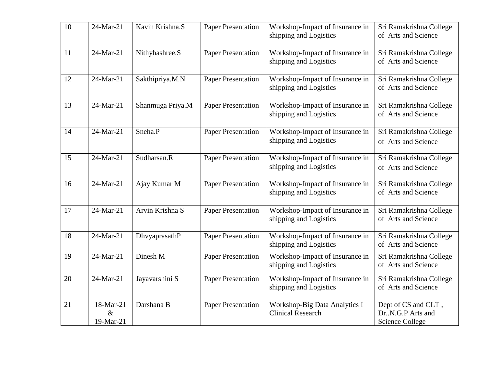| 10 | 24-Mar-21                      | Kavin Krishna.S  | <b>Paper Presentation</b> | Workshop-Impact of Insurance in<br>shipping and Logistics | Sri Ramakrishna College<br>of Arts and Science                      |
|----|--------------------------------|------------------|---------------------------|-----------------------------------------------------------|---------------------------------------------------------------------|
| 11 | 24-Mar-21                      | Nithyhashree.S   | <b>Paper Presentation</b> | Workshop-Impact of Insurance in<br>shipping and Logistics | Sri Ramakrishna College<br>of Arts and Science                      |
| 12 | 24-Mar-21                      | Sakthipriya.M.N  | <b>Paper Presentation</b> | Workshop-Impact of Insurance in<br>shipping and Logistics | Sri Ramakrishna College<br>of Arts and Science                      |
| 13 | 24-Mar-21                      | Shanmuga Priya.M | <b>Paper Presentation</b> | Workshop-Impact of Insurance in<br>shipping and Logistics | Sri Ramakrishna College<br>of Arts and Science                      |
| 14 | 24-Mar-21                      | Sneha.P          | <b>Paper Presentation</b> | Workshop-Impact of Insurance in<br>shipping and Logistics | Sri Ramakrishna College<br>of Arts and Science                      |
| 15 | 24-Mar-21                      | Sudharsan.R      | <b>Paper Presentation</b> | Workshop-Impact of Insurance in<br>shipping and Logistics | Sri Ramakrishna College<br>of Arts and Science                      |
| 16 | 24-Mar-21                      | Ajay Kumar M     | <b>Paper Presentation</b> | Workshop-Impact of Insurance in<br>shipping and Logistics | Sri Ramakrishna College<br>of Arts and Science                      |
| 17 | 24-Mar-21                      | Arvin Krishna S  | <b>Paper Presentation</b> | Workshop-Impact of Insurance in<br>shipping and Logistics | Sri Ramakrishna College<br>of Arts and Science                      |
| 18 | 24-Mar-21                      | DhvyaprasathP    | <b>Paper Presentation</b> | Workshop-Impact of Insurance in<br>shipping and Logistics | Sri Ramakrishna College<br>of Arts and Science                      |
| 19 | 24-Mar-21                      | Dinesh M         | <b>Paper Presentation</b> | Workshop-Impact of Insurance in<br>shipping and Logistics | Sri Ramakrishna College<br>of Arts and Science                      |
| 20 | 24-Mar-21                      | Jayavarshini S   | <b>Paper Presentation</b> | Workshop-Impact of Insurance in<br>shipping and Logistics | Sri Ramakrishna College<br>of Arts and Science                      |
| 21 | 18-Mar-21<br>$\&$<br>19-Mar-21 | Darshana B       | <b>Paper Presentation</b> | Workshop-Big Data Analytics I<br><b>Clinical Research</b> | Dept of CS and CLT,<br>Dr. N.G.P Arts and<br><b>Science College</b> |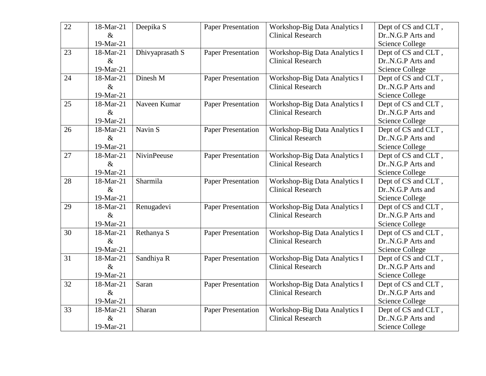| 22 | 18-Mar-21 | Deepika S       | <b>Paper Presentation</b> | Workshop-Big Data Analytics I | Dept of CS and CLT,    |
|----|-----------|-----------------|---------------------------|-------------------------------|------------------------|
|    | $\&$      |                 |                           | <b>Clinical Research</b>      | Dr.,N.G.P Arts and     |
|    | 19-Mar-21 |                 |                           |                               | <b>Science College</b> |
| 23 | 18-Mar-21 | Dhivyaprasath S | <b>Paper Presentation</b> | Workshop-Big Data Analytics I | Dept of CS and CLT,    |
|    | $\&$      |                 |                           | <b>Clinical Research</b>      | Dr.,N.G.P Arts and     |
|    | 19-Mar-21 |                 |                           |                               | <b>Science College</b> |
| 24 | 18-Mar-21 | Dinesh M        | <b>Paper Presentation</b> | Workshop-Big Data Analytics I | Dept of CS and CLT,    |
|    | $\&$      |                 |                           | <b>Clinical Research</b>      | Dr.,N.G.P Arts and     |
|    | 19-Mar-21 |                 |                           |                               | <b>Science College</b> |
| 25 | 18-Mar-21 | Naveen Kumar    | <b>Paper Presentation</b> | Workshop-Big Data Analytics I | Dept of CS and CLT,    |
|    | $\&$      |                 |                           | <b>Clinical Research</b>      | Dr.,N.G.P Arts and     |
|    | 19-Mar-21 |                 |                           |                               | <b>Science College</b> |
| 26 | 18-Mar-21 | Navin S         | <b>Paper Presentation</b> | Workshop-Big Data Analytics I | Dept of CS and CLT,    |
|    | $\&$      |                 |                           | <b>Clinical Research</b>      | Dr.,N.G.P Arts and     |
|    | 19-Mar-21 |                 |                           |                               | <b>Science College</b> |
| 27 | 18-Mar-21 | NivinPeeuse     | <b>Paper Presentation</b> | Workshop-Big Data Analytics I | Dept of CS and CLT,    |
|    | $\&$      |                 |                           | <b>Clinical Research</b>      | Dr.,N.G.P Arts and     |
|    | 19-Mar-21 |                 |                           |                               | <b>Science College</b> |
| 28 | 18-Mar-21 | Sharmila        | <b>Paper Presentation</b> | Workshop-Big Data Analytics I | Dept of CS and CLT,    |
|    | $\&$      |                 |                           | <b>Clinical Research</b>      | Dr. N.G.P Arts and     |
|    | 19-Mar-21 |                 |                           |                               | <b>Science College</b> |
| 29 | 18-Mar-21 | Renugadevi      | <b>Paper Presentation</b> | Workshop-Big Data Analytics I | Dept of CS and CLT,    |
|    | $\&$      |                 |                           | <b>Clinical Research</b>      | Dr.,N.G.P Arts and     |
|    | 19-Mar-21 |                 |                           |                               | <b>Science College</b> |
| 30 | 18-Mar-21 | Rethanya S      | <b>Paper Presentation</b> | Workshop-Big Data Analytics I | Dept of CS and CLT,    |
|    | $\&$      |                 |                           | <b>Clinical Research</b>      | Dr.,N.G.P Arts and     |
|    | 19-Mar-21 |                 |                           |                               | <b>Science College</b> |
| 31 | 18-Mar-21 | Sandhiya R      | <b>Paper Presentation</b> | Workshop-Big Data Analytics I | Dept of CS and CLT,    |
|    | $\&$      |                 |                           | <b>Clinical Research</b>      | Dr.,N.G.P Arts and     |
|    | 19-Mar-21 |                 |                           |                               | <b>Science College</b> |
| 32 | 18-Mar-21 | Saran           | <b>Paper Presentation</b> | Workshop-Big Data Analytics I | Dept of CS and CLT,    |
|    | $\&$      |                 |                           | <b>Clinical Research</b>      | Dr.,N.G.P Arts and     |
|    | 19-Mar-21 |                 |                           |                               | <b>Science College</b> |
| 33 | 18-Mar-21 | Sharan          | <b>Paper Presentation</b> | Workshop-Big Data Analytics I | Dept of CS and CLT,    |
|    | $\&$      |                 |                           | <b>Clinical Research</b>      | Dr. N.G.P Arts and     |
|    | 19-Mar-21 |                 |                           |                               | <b>Science College</b> |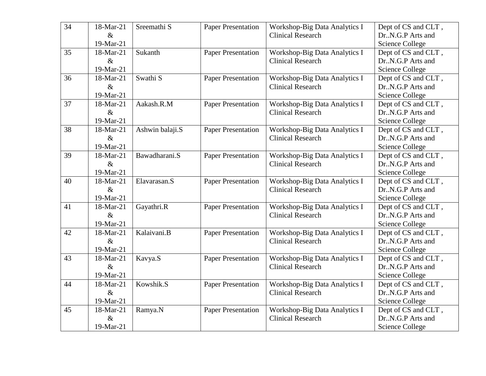| $\overline{34}$ | 18-Mar-21 | Sreemathi S         | <b>Paper Presentation</b> | Workshop-Big Data Analytics I | Dept of CS and CLT,    |
|-----------------|-----------|---------------------|---------------------------|-------------------------------|------------------------|
|                 | $\&$      |                     |                           | <b>Clinical Research</b>      | Dr.,N.G.P Arts and     |
|                 | 19-Mar-21 |                     |                           |                               | <b>Science College</b> |
| 35              | 18-Mar-21 | Sukanth             | <b>Paper Presentation</b> | Workshop-Big Data Analytics I | Dept of CS and CLT,    |
|                 | $\&$      |                     |                           | <b>Clinical Research</b>      | Dr.,N.G.P Arts and     |
|                 | 19-Mar-21 |                     |                           |                               | <b>Science College</b> |
| 36              | 18-Mar-21 | Swathi <sub>S</sub> | <b>Paper Presentation</b> | Workshop-Big Data Analytics I | Dept of CS and CLT,    |
|                 | $\&$      |                     |                           | <b>Clinical Research</b>      | Dr.,N.G.P Arts and     |
|                 | 19-Mar-21 |                     |                           |                               | <b>Science College</b> |
| 37              | 18-Mar-21 | Aakash.R.M          | <b>Paper Presentation</b> | Workshop-Big Data Analytics I | Dept of CS and CLT,    |
|                 | $\&$      |                     |                           | <b>Clinical Research</b>      | Dr., N.G.P Arts and    |
|                 | 19-Mar-21 |                     |                           |                               | <b>Science College</b> |
| 38              | 18-Mar-21 | Ashwin balaji.S     | <b>Paper Presentation</b> | Workshop-Big Data Analytics I | Dept of CS and CLT,    |
|                 | $\&$      |                     |                           | <b>Clinical Research</b>      | Dr.,N.G.P Arts and     |
|                 | 19-Mar-21 |                     |                           |                               | <b>Science College</b> |
| 39              | 18-Mar-21 | Bawadharani.S       | <b>Paper Presentation</b> | Workshop-Big Data Analytics I | Dept of CS and CLT,    |
|                 | $\&$      |                     |                           | <b>Clinical Research</b>      | Dr.,N.G.P Arts and     |
|                 | 19-Mar-21 |                     |                           |                               | <b>Science College</b> |
| 40              | 18-Mar-21 | Elavarasan.S        | <b>Paper Presentation</b> | Workshop-Big Data Analytics I | Dept of CS and CLT,    |
|                 | $\&$      |                     |                           | <b>Clinical Research</b>      | Dr. N.G.P Arts and     |
|                 | 19-Mar-21 |                     |                           |                               | <b>Science College</b> |
| 41              | 18-Mar-21 | Gayathri.R          | <b>Paper Presentation</b> | Workshop-Big Data Analytics I | Dept of CS and CLT,    |
|                 | $\&$      |                     |                           | <b>Clinical Research</b>      | Dr.,N.G.P Arts and     |
|                 | 19-Mar-21 |                     |                           |                               | <b>Science College</b> |
| 42              | 18-Mar-21 | Kalaivani.B         | <b>Paper Presentation</b> | Workshop-Big Data Analytics I | Dept of CS and CLT,    |
|                 | $\&$      |                     |                           | <b>Clinical Research</b>      | Dr.,N.G.P Arts and     |
|                 | 19-Mar-21 |                     |                           |                               | <b>Science College</b> |
| 43              | 18-Mar-21 | Kavya.S             | <b>Paper Presentation</b> | Workshop-Big Data Analytics I | Dept of CS and CLT,    |
|                 | $\&$      |                     |                           | <b>Clinical Research</b>      | Dr.,N.G.P Arts and     |
|                 | 19-Mar-21 |                     |                           |                               | <b>Science College</b> |
| 44              | 18-Mar-21 | Kowshik.S           | <b>Paper Presentation</b> | Workshop-Big Data Analytics I | Dept of CS and CLT,    |
|                 | $\&$      |                     |                           | <b>Clinical Research</b>      | Dr.,N.G.P Arts and     |
|                 | 19-Mar-21 |                     |                           |                               | <b>Science College</b> |
| 45              | 18-Mar-21 | Ramya.N             | <b>Paper Presentation</b> | Workshop-Big Data Analytics I | Dept of CS and CLT,    |
|                 | $\&$      |                     |                           | <b>Clinical Research</b>      | Dr. N.G.P Arts and     |
|                 | 19-Mar-21 |                     |                           |                               | <b>Science College</b> |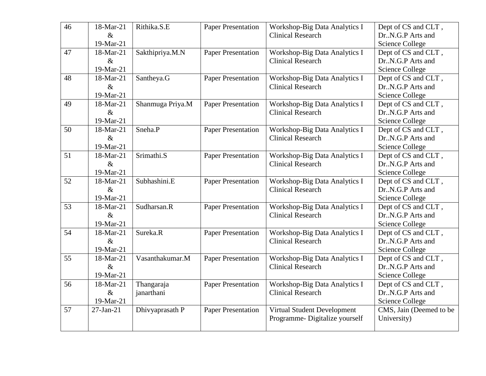| 46 | 18-Mar-21<br>$\&$<br>19-Mar-21 | Rithika.S.E              | <b>Paper Presentation</b> | Workshop-Big Data Analytics I<br><b>Clinical Research</b>    | Dept of CS and CLT,<br>Dr.,N.G.P Arts and<br><b>Science College</b> |
|----|--------------------------------|--------------------------|---------------------------|--------------------------------------------------------------|---------------------------------------------------------------------|
| 47 | 18-Mar-21<br>$\&$<br>19-Mar-21 | Sakthipriya.M.N          | <b>Paper Presentation</b> | Workshop-Big Data Analytics I<br><b>Clinical Research</b>    | Dept of CS and CLT,<br>Dr. N.G.P Arts and<br><b>Science College</b> |
| 48 | 18-Mar-21<br>$\&$<br>19-Mar-21 | Santheya.G               | <b>Paper Presentation</b> | Workshop-Big Data Analytics I<br><b>Clinical Research</b>    | Dept of CS and CLT,<br>Dr.,N.G.P Arts and<br><b>Science College</b> |
| 49 | 18-Mar-21<br>$\&$<br>19-Mar-21 | Shanmuga Priya.M         | <b>Paper Presentation</b> | Workshop-Big Data Analytics I<br><b>Clinical Research</b>    | Dept of CS and CLT,<br>Dr.,N.G.P Arts and<br><b>Science College</b> |
| 50 | 18-Mar-21<br>$\&$<br>19-Mar-21 | Sneha.P                  | <b>Paper Presentation</b> | Workshop-Big Data Analytics I<br><b>Clinical Research</b>    | Dept of CS and CLT,<br>Dr.,N.G.P Arts and<br><b>Science College</b> |
| 51 | 18-Mar-21<br>$\&$<br>19-Mar-21 | Srimathi.S               | <b>Paper Presentation</b> | Workshop-Big Data Analytics I<br><b>Clinical Research</b>    | Dept of CS and CLT,<br>Dr.,N.G.P Arts and<br><b>Science College</b> |
| 52 | 18-Mar-21<br>$\&$<br>19-Mar-21 | Subhashini.E             | <b>Paper Presentation</b> | Workshop-Big Data Analytics I<br><b>Clinical Research</b>    | Dept of CS and CLT,<br>Dr.,N.G.P Arts and<br><b>Science College</b> |
| 53 | 18-Mar-21<br>$\&$<br>19-Mar-21 | Sudharsan.R              | <b>Paper Presentation</b> | Workshop-Big Data Analytics I<br><b>Clinical Research</b>    | Dept of CS and CLT,<br>Dr. N.G.P Arts and<br><b>Science College</b> |
| 54 | 18-Mar-21<br>$\&$<br>19-Mar-21 | Sureka.R                 | <b>Paper Presentation</b> | Workshop-Big Data Analytics I<br><b>Clinical Research</b>    | Dept of CS and CLT,<br>Dr. N.G.P Arts and<br><b>Science College</b> |
| 55 | 18-Mar-21<br>$\&$<br>19-Mar-21 | Vasanthakumar.M          | <b>Paper Presentation</b> | Workshop-Big Data Analytics I<br><b>Clinical Research</b>    | Dept of CS and CLT,<br>Dr. N.G.P Arts and<br><b>Science College</b> |
| 56 | 18-Mar-21<br>$\&$<br>19-Mar-21 | Thangaraja<br>janarthani | <b>Paper Presentation</b> | Workshop-Big Data Analytics I<br><b>Clinical Research</b>    | Dept of CS and CLT,<br>Dr. N.G.P Arts and<br><b>Science College</b> |
| 57 | $27-Jan-21$                    | Dhivyaprasath P          | <b>Paper Presentation</b> | Virtual Student Development<br>Programme-Digitalize yourself | CMS, Jain (Deemed to be<br>University)                              |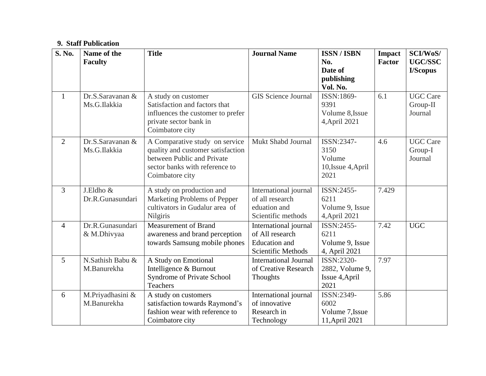#### **9. Staff Publication**

| <b>S. No.</b>  | Name of the      | <b>Title</b>                      | <b>Journal Name</b>          | <b>ISSN/ISBN</b>   | <b>Impact</b> | SCI/WoS/        |
|----------------|------------------|-----------------------------------|------------------------------|--------------------|---------------|-----------------|
|                | <b>Faculty</b>   |                                   |                              | No.                | <b>Factor</b> | <b>UGC/SSC</b>  |
|                |                  |                                   |                              | Date of            |               | I/Scopus        |
|                |                  |                                   |                              | publishing         |               |                 |
|                |                  |                                   |                              | Vol. No.           |               |                 |
| $\mathbf{1}$   | Dr.S.Saravanan & | A study on customer               | <b>GIS Science Journal</b>   | ISSN:1869-         | 6.1           | <b>UGC</b> Care |
|                | Ms.G.Ilakkia     | Satisfaction and factors that     |                              | 9391               |               | Group-II        |
|                |                  | influences the customer to prefer |                              | Volume 8, Issue    |               | Journal         |
|                |                  | private sector bank in            |                              | 4, April 2021      |               |                 |
|                |                  | Coimbatore city                   |                              |                    |               |                 |
| $\overline{2}$ | Dr.S.Saravanan & | A Comparative study on service    | Mukt Shabd Journal           | ISSN:2347-         | 4.6           | <b>UGC Care</b> |
|                | Ms.G.Ilakkia     | quality and customer satisfaction |                              | 3150               |               | Group-I         |
|                |                  | between Public and Private        |                              | Volume             |               | Journal         |
|                |                  | sector banks with reference to    |                              | 10, Issue 4, April |               |                 |
|                |                  | Coimbatore city                   |                              | 2021               |               |                 |
| 3              | J.Eldho &        | A study on production and         | International journal        | ISSN:2455-         | 7.429         |                 |
|                | Dr.R.Gunasundari | Marketing Problems of Pepper      | of all research              | 6211               |               |                 |
|                |                  | cultivators in Gudalur area of    | eduation and                 | Volume 9, Issue    |               |                 |
|                |                  | Nilgiris                          | Scientific methods           | 4, April 2021      |               |                 |
| $\overline{4}$ | Dr.R.Gunasundari | <b>Measurement of Brand</b>       | International journal        | ISSN:2455-         | 7.42          | <b>UGC</b>      |
|                | & M.Dhivyaa      | awareness and brand perception    | of All research              | 6211               |               |                 |
|                |                  | towards Samsung mobile phones     | <b>Education</b> and         | Volume 9, Issue    |               |                 |
|                |                  |                                   | <b>Scientific Methods</b>    | 4, April 2021      |               |                 |
| 5              | N.Sathish Babu & | A Study on Emotional              | <b>International Journal</b> | ISSN:2320-         | 7.97          |                 |
|                | M.Banurekha      | Intelligence & Burnout            | of Creative Research         | 2882, Volume 9,    |               |                 |
|                |                  | Syndrome of Private School        | Thoughts                     | Issue 4, April     |               |                 |
|                |                  | <b>Teachers</b>                   |                              | 2021               |               |                 |
| 6              | M.Priyadhasini & | A study on customers              | International journal        | ISSN:2349-         | 5.86          |                 |
|                | M.Banurekha      | satisfaction towards Raymond's    | of innovative                | 6002               |               |                 |
|                |                  | fashion wear with reference to    | Research in                  | Volume 7, Issue    |               |                 |
|                |                  | Coimbatore city                   | Technology                   | 11, April 2021     |               |                 |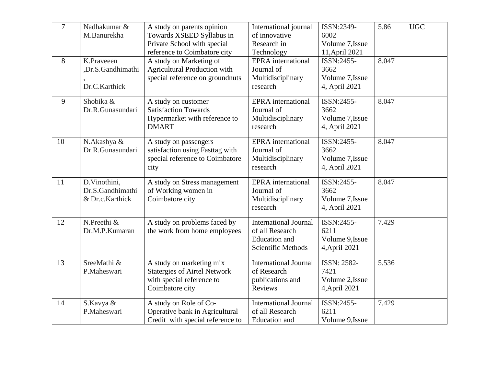| $\overline{7}$<br>8 | Nadhakumar &<br>M.Banurekha<br>K.Praveeen           | A study on parents opinion<br>Towards XSEED Syllabus in<br>Private School with special<br>reference to Coimbatore city<br>A study on Marketing of | International journal<br>of innovative<br>Research in<br>Technology<br><b>EPRA</b> international | ISSN:2349-<br>6002<br>Volume 7, Issue<br>11, April 2021<br>ISSN:2455- | 5.86<br>8.047 | <b>UGC</b> |
|---------------------|-----------------------------------------------------|---------------------------------------------------------------------------------------------------------------------------------------------------|--------------------------------------------------------------------------------------------------|-----------------------------------------------------------------------|---------------|------------|
|                     | ,Dr.S.Gandhimathi<br>Dr.C.Karthick                  | <b>Agricultural Production with</b><br>special reference on groundnuts                                                                            | Journal of<br>Multidisciplinary<br>research                                                      | 3662<br>Volume 7.Issue<br>4, April 2021                               |               |            |
| 9                   | Shobika &<br>Dr.R.Gunasundari                       | A study on customer<br><b>Satisfaction Towards</b><br>Hypermarket with reference to<br><b>DMART</b>                                               | <b>EPRA</b> international<br>Journal of<br>Multidisciplinary<br>research                         | ISSN:2455-<br>3662<br>Volume 7, Issue<br>4, April 2021                | 8.047         |            |
| 10                  | N.Akashya &<br>Dr.R.Gunasundari                     | A study on passengers<br>satisfaction using Fasttag with<br>special reference to Coimbatore<br>city                                               | <b>EPRA</b> international<br>Journal of<br>Multidisciplinary<br>research                         | ISSN:2455-<br>3662<br>Volume 7, Issue<br>4, April 2021                | 8.047         |            |
| 11                  | D.Vinothini,<br>Dr.S.Gandhimathi<br>& Dr.c.Karthick | A study on Stress management<br>of Working women in<br>Coimbatore city                                                                            | <b>EPRA</b> international<br>Journal of<br>Multidisciplinary<br>research                         | ISSN:2455-<br>3662<br>Volume 7, Issue<br>4, April 2021                | 8.047         |            |
| 12                  | N.Preethi &<br>Dr.M.P.Kumaran                       | A study on problems faced by<br>the work from home employees                                                                                      | <b>International Journal</b><br>of all Research<br><b>Education</b> and<br>Scientific Methods    | ISSN:2455-<br>6211<br>Volume 9, Issue<br>4, April 2021                | 7.429         |            |
| 13                  | SreeMathi &<br>P.Maheswari                          | A study on marketing mix<br><b>Statergies of Airtel Network</b><br>with special reference to<br>Coimbatore city                                   | <b>International Journal</b><br>of Research<br>publications and<br>Reviews                       | <b>ISSN: 2582-</b><br>7421<br>Volume 2, Issue<br>4, April 2021        | 5.536         |            |
| 14                  | S.Kavya &<br>P.Maheswari                            | A study on Role of Co-<br>Operative bank in Agricultural<br>Credit with special reference to                                                      | <b>International Journal</b><br>of all Research<br><b>Education</b> and                          | ISSN:2455-<br>6211<br>Volume 9, Issue                                 | 7.429         |            |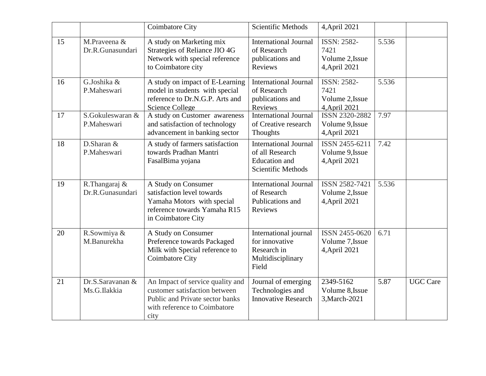|    |                                                   | <b>Coimbatore City</b>                                                                                                                       | Scientific Methods                                                                                   | 4, April 2021                                                  |       |                 |
|----|---------------------------------------------------|----------------------------------------------------------------------------------------------------------------------------------------------|------------------------------------------------------------------------------------------------------|----------------------------------------------------------------|-------|-----------------|
| 15 | M.Praveena &<br>Dr.R.Gunasundari                  | A study on Marketing mix<br>Strategies of Reliance JIO 4G<br>Network with special reference<br>to Coimbatore city                            | <b>International Journal</b><br>of Research<br>publications and<br>Reviews                           | <b>ISSN: 2582-</b><br>7421<br>Volume 2, Issue<br>4, April 2021 | 5.536 |                 |
| 16 | G.Joshika &<br>P.Maheswari                        | A study on impact of E-Learning<br>model in students with special<br>reference to Dr.N.G.P. Arts and<br><b>Science College</b>               | <b>International Journal</b><br>of Research<br>publications and<br>Reviews                           | <b>ISSN: 2582-</b><br>7421<br>Volume 2, Issue<br>4, April 2021 | 5.536 |                 |
| 17 | S.Gokuleswaran &<br>P.Maheswari                   | A study on Customer awareness<br>and satisfaction of technology<br>advancement in banking sector                                             | <b>International Journal</b><br>of Creative research<br><b>Thoughts</b>                              | ISSN 2320-2882<br>Volume 9, Issue<br>4, April 2021             | 7.97  |                 |
| 18 | $\overline{\mathrm{D}}$ . Sharan &<br>P.Maheswari | A study of farmers satisfaction<br>towards Pradhan Mantri<br>FasalBima yojana                                                                | <b>International Journal</b><br>of all Research<br><b>Education</b> and<br><b>Scientific Methods</b> | ISSN 2455-6211<br>Volume 9, Issue<br>4, April 2021             | 7.42  |                 |
| 19 | R.Thangaraj &<br>Dr.R.Gunasundari                 | A Study on Consumer<br>satisfaction level towards<br>Yamaha Motors with special<br>reference towards Yamaha R15<br>in Coimbatore City        | <b>International Journal</b><br>of Research<br>Publications and<br>Reviews                           | ISSN 2582-7421<br>Volume 2, Issue<br>4, April 2021             | 5.536 |                 |
| 20 | R.Sowmiya &<br>M.Banurekha                        | A Study on Consumer<br>Preference towards Packaged<br>Milk with Special reference to<br><b>Coimbatore City</b>                               | International journal<br>for innovative<br>Research in<br>Multidisciplinary<br>Field                 | ISSN 2455-0620<br>Volume 7, Issue<br>4, April 2021             | 6.71  |                 |
| 21 | Dr.S.Saravanan &<br>Ms.G.Ilakkia                  | An Impact of service quality and<br>customer satisfaction between<br>Public and Private sector banks<br>with reference to Coimbatore<br>city | Journal of emerging<br>Technologies and<br><b>Innovative Research</b>                                | 2349-5162<br>Volume 8, Issue<br>3, March-2021                  | 5.87  | <b>UGC Care</b> |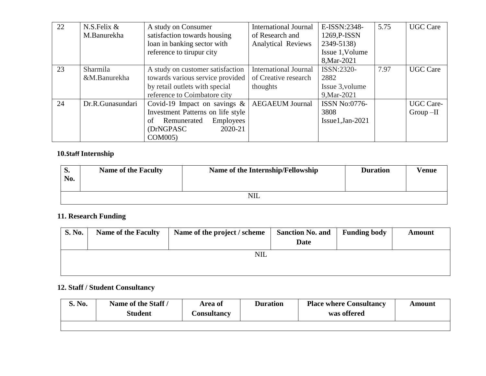| 22 | N.S.Felix $&$    | A study on Consumer                   | <b>International Journal</b> | E-ISSN:2348-         | 5.75 | <b>UGC Care</b>  |
|----|------------------|---------------------------------------|------------------------------|----------------------|------|------------------|
|    | M.Banurekha      | satisfaction towards housing          | of Research and              | 1269, P-ISSN         |      |                  |
|    |                  | loan in banking sector with           | <b>Analytical Reviews</b>    | 2349-5138)           |      |                  |
|    |                  | reference to tirupur city             |                              | Issue 1, Volume      |      |                  |
|    |                  |                                       |                              | 8, Mar-2021          |      |                  |
| 23 | Sharmila         | A study on customer satisfaction      | <b>International Journal</b> | ISSN:2320-           | 7.97 | <b>UGC Care</b>  |
|    | &M.Banurekha     | towards various service provided      | of Creative research         | 2882                 |      |                  |
|    |                  | by retail outlets with special        | thoughts                     | Issue 3, volume      |      |                  |
|    |                  | reference to Coimbatore city          |                              | 9, Mar-2021          |      |                  |
| 24 | Dr.R.Gunasundari | Covid-19 Impact on savings $\&$       | <b>AEGAEUM Journal</b>       | <b>ISSN No:0776-</b> |      | <b>UGC</b> Care- |
|    |                  | Investment Patterns on life style     |                              | 3808                 |      | $Group-II$       |
|    |                  | Remunerated<br><b>Employees</b><br>οf |                              | $Issue1, Jan-2021$   |      |                  |
|    |                  | 2020-21<br>(DrNGPASC)                 |                              |                      |      |                  |
|    |                  | COM005)                               |                              |                      |      |                  |

## **10.Staff Internship**

| D.<br>No. | <b>Name of the Faculty</b> | Name of the Internship/Fellowship | <b>Duration</b> | <b>Venue</b> |  |  |  |
|-----------|----------------------------|-----------------------------------|-----------------|--------------|--|--|--|
|           | <b>NIL</b>                 |                                   |                 |              |  |  |  |

# **11. Research Funding**

| <b>S. No.</b> | <b>Name of the Faculty</b> | Name of the project / scheme | <b>Sanction No. and</b><br><b>Date</b> | <b>Funding body</b> | Amount |
|---------------|----------------------------|------------------------------|----------------------------------------|---------------------|--------|
|               |                            | NIL                          |                                        |                     |        |

# **12. Staff / Student Consultancy**

| S. No. | Name of the Staff /<br><b>Student</b> | Area of<br>Consultancy | <b>Duration</b> | <b>Place where Consultancy</b><br>was offered | Amount |
|--------|---------------------------------------|------------------------|-----------------|-----------------------------------------------|--------|
|        |                                       |                        |                 |                                               |        |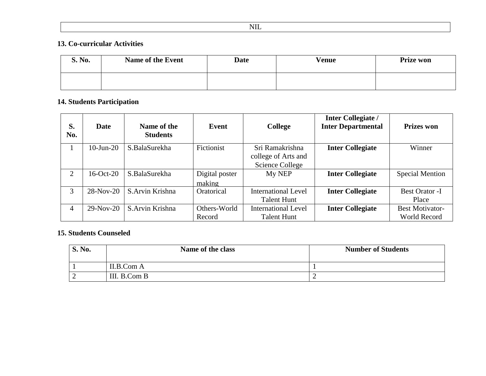### **13. Co-curricular Activities**

| S. No. | <b>Name of the Event</b> | <b>Date</b> | <b>Venue</b> | <b>Prize won</b> |
|--------|--------------------------|-------------|--------------|------------------|
|        |                          |             |              |                  |

## **14. Students Participation**

| S.<br>No. | <b>Date</b>     | Name of the<br><b>Students</b> | Event          | <b>College</b>             | <b>Inter Collegiate /</b><br><b>Inter Departmental</b> | <b>Prizes won</b>      |
|-----------|-----------------|--------------------------------|----------------|----------------------------|--------------------------------------------------------|------------------------|
|           | $10$ -Jun- $20$ | S.BalaSurekha                  | Fictionist     | Sri Ramakrishna            | <b>Inter Collegiate</b>                                | Winner                 |
|           |                 |                                |                | college of Arts and        |                                                        |                        |
|           |                 |                                |                | Science College            |                                                        |                        |
| 2         | $16-Oct-20$     | S.BalaSurekha                  | Digital poster | My NEP                     | <b>Inter Collegiate</b>                                | <b>Special Mention</b> |
|           |                 |                                | making         |                            |                                                        |                        |
| 3         | $28-Nov-20$     | S.Arvin Krishna                | Oratorical     | <b>International Level</b> | <b>Inter Collegiate</b>                                | <b>Best Orator -I</b>  |
|           |                 |                                |                | Talent Hunt                |                                                        | Place                  |
| 4         | $29-Nov-20$     | S.Arvin Krishna                | Others-World   | <b>International Level</b> | <b>Inter Collegiate</b>                                | <b>Best Motivator-</b> |
|           |                 |                                | Record         | Talent Hunt                |                                                        | World Record           |

## **15. Students Counseled**

| <b>S. No.</b> | Name of the class | <b>Number of Students</b> |
|---------------|-------------------|---------------------------|
|               | II.B.Com A        |                           |
| ∽             | III. B.Com B      |                           |